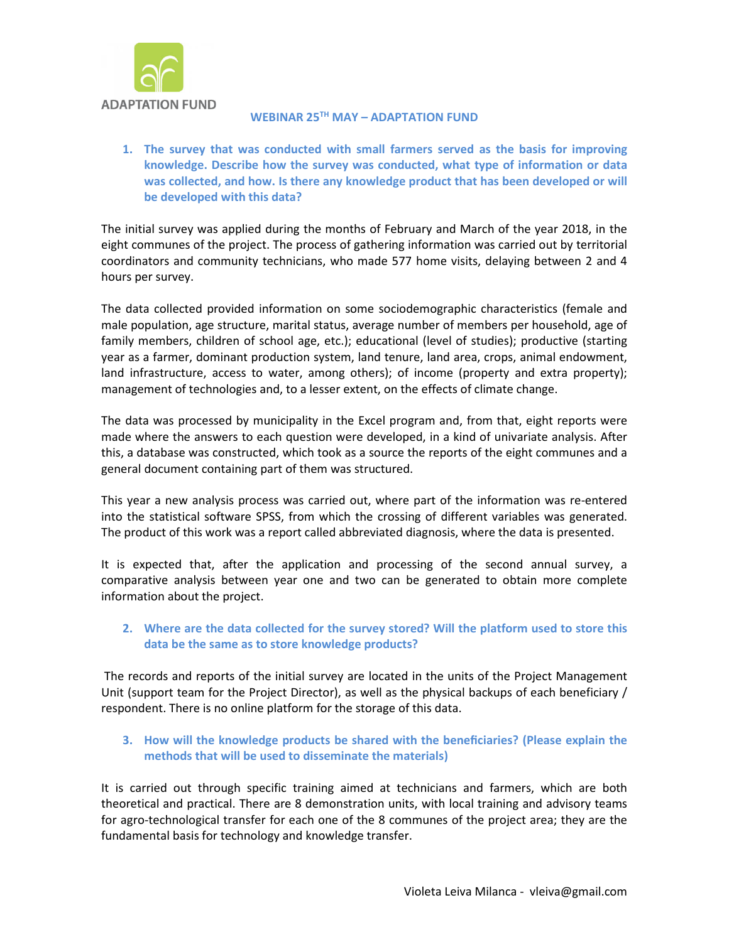

### **WEBINAR 25TH MAY – ADAPTATION FUND**

**1. The survey that was conducted with small farmers served as the basis for improving knowledge. Describe how the survey was conducted, what type of information or data was collected, and how. Is there any knowledge product that has been developed or will be developed with this data?**

The initial survey was applied during the months of February and March of the year 2018, in the eight communes of the project. The process of gathering information was carried out by territorial coordinators and community technicians, who made 577 home visits, delaying between 2 and 4 hours per survey.

The data collected provided information on some sociodemographic characteristics (female and male population, age structure, marital status, average number of members per household, age of family members, children of school age, etc.); educational (level of studies); productive (starting year as a farmer, dominant production system, land tenure, land area, crops, animal endowment, land infrastructure, access to water, among others); of income (property and extra property); management of technologies and, to a lesser extent, on the effects of climate change.

The data was processed by municipality in the Excel program and, from that, eight reports were made where the answers to each question were developed, in a kind of univariate analysis. After this, a database was constructed, which took as a source the reports of the eight communes and a general document containing part of them was structured.

This year a new analysis process was carried out, where part of the information was re-entered into the statistical software SPSS, from which the crossing of different variables was generated. The product of this work was a report called abbreviated diagnosis, where the data is presented.

It is expected that, after the application and processing of the second annual survey, a comparative analysis between year one and two can be generated to obtain more complete information about the project.

## **2. Where are the data collected for the survey stored? Will the platform used to store this data be the same as to store knowledge products?**

The records and reports of the initial survey are located in the units of the Project Management Unit (support team for the Project Director), as well as the physical backups of each beneficiary / respondent. There is no online platform for the storage of this data.

### **3. How will the knowledge products be shared with the beneficiaries? (Please explain the methods that will be used to disseminate the materials)**

It is carried out through specific training aimed at technicians and farmers, which are both theoretical and practical. There are 8 demonstration units, with local training and advisory teams for agro-technological transfer for each one of the 8 communes of the project area; they are the fundamental basis for technology and knowledge transfer.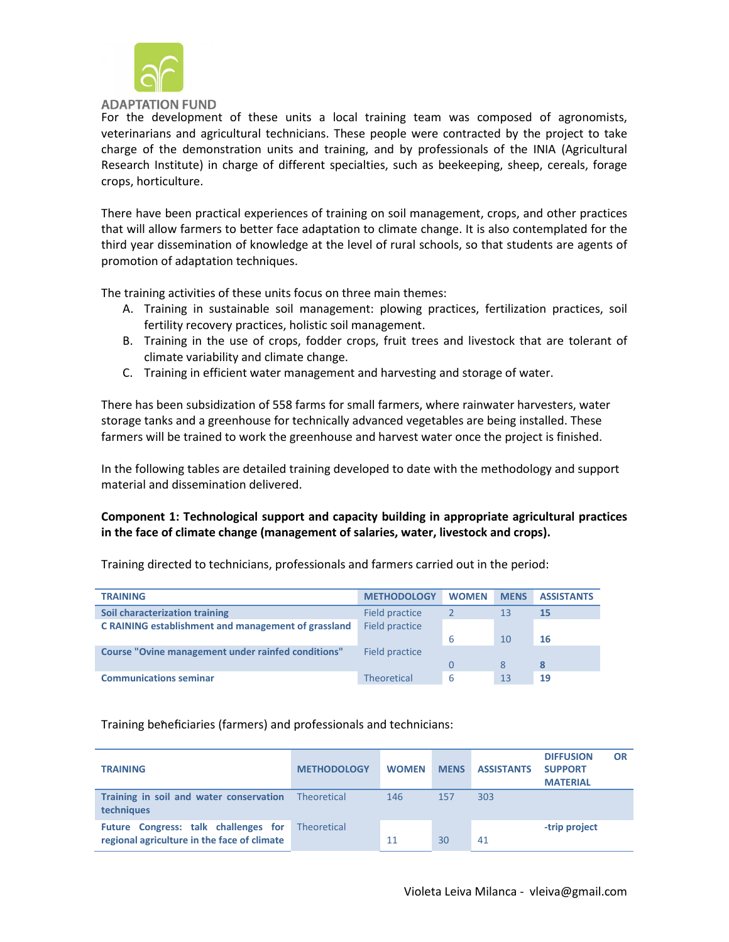

For the development of these units a local training team was composed of agronomists, veterinarians and agricultural technicians. These people were contracted by the project to take charge of the demonstration units and training, and by professionals of the INIA (Agricultural Research Institute) in charge of different specialties, such as beekeeping, sheep, cereals, forage crops, horticulture.

There have been practical experiences of training on soil management, crops, and other practices that will allow farmers to better face adaptation to climate change. It is also contemplated for the third year dissemination of knowledge at the level of rural schools, so that students are agents of promotion of adaptation techniques.

The training activities of these units focus on three main themes:

- A. Training in sustainable soil management: plowing practices, fertilization practices, soil fertility recovery practices, holistic soil management.
- B. Training in the use of crops, fodder crops, fruit trees and livestock that are tolerant of climate variability and climate change.
- C. Training in efficient water management and harvesting and storage of water.

There has been subsidization of 558 farms for small farmers, where rainwater harvesters, water storage tanks and a greenhouse for technically advanced vegetables are being installed. These farmers will be trained to work the greenhouse and harvest water once the project is finished.

In the following tables are detailed training developed to date with the methodology and support material and dissemination delivered.

### **Component 1: Technological support and capacity building in appropriate agricultural practices in the face of climate change (management of salaries, water, livestock and crops).**

| <b>TRAINING</b>                                     | <b>METHODOLOGY</b> | <b>WOMEN</b> | <b>MENS</b> | <b>ASSISTANTS</b> |
|-----------------------------------------------------|--------------------|--------------|-------------|-------------------|
| Soil characterization training                      | Field practice     |              | 13          | 15                |
| C RAINING establishment and management of grassland | Field practice     |              |             |                   |
|                                                     |                    | 6            | 10          | 16                |
| Course "Ovine management under rainfed conditions"  | Field practice     |              |             |                   |
|                                                     |                    | 0            | 8           | -8                |
| <b>Communications seminar</b>                       | <b>Theoretical</b> | 6            | 13          | 19                |

Training directed to technicians, professionals and farmers carried out in the period:

#### Training beneficiaries (farmers) and professionals and technicians:

| <b>TRAINING</b>                                                                                 | <b>METHODOLOGY</b> | <b>WOMEN</b> | <b>MENS</b> | <b>ASSISTANTS</b> | <b>DIFFUSION</b><br><b>SUPPORT</b><br><b>MATERIAL</b> | OR |
|-------------------------------------------------------------------------------------------------|--------------------|--------------|-------------|-------------------|-------------------------------------------------------|----|
| Training in soil and water conservation<br>techniques                                           | Theoretical        | 146          | 157         | 303               |                                                       |    |
| Future Congress: talk challenges for Theoretical<br>regional agriculture in the face of climate |                    | 11           | 30          | 41                | -trip project                                         |    |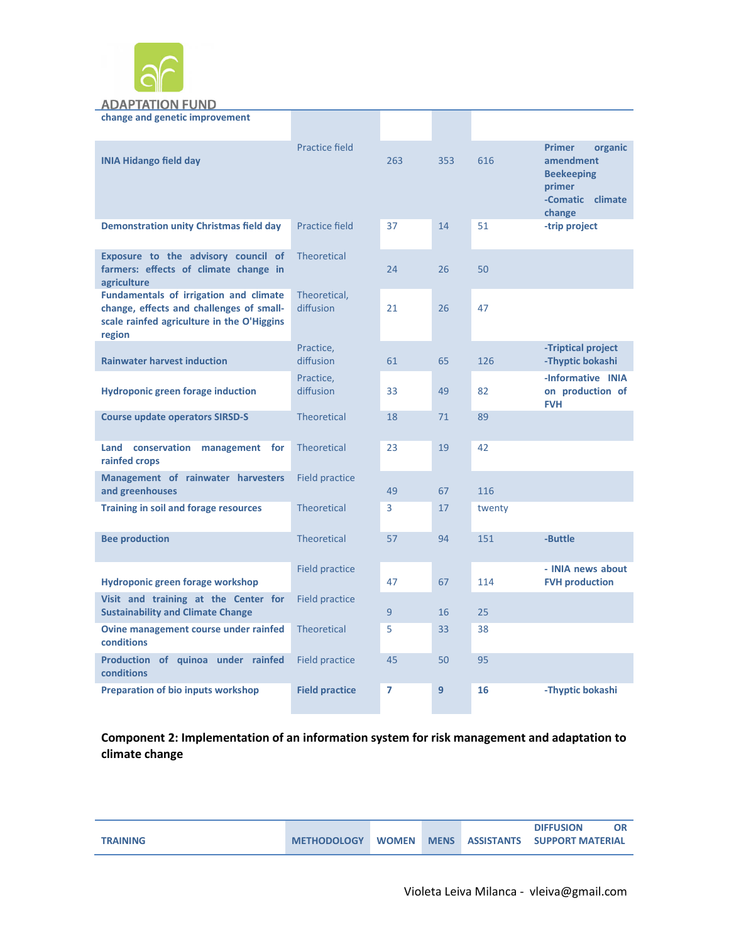

### **ADAPTATION FUND**

| change and genetic improvement                                                                                                                    |                           |     |     |        |                                                                                                    |
|---------------------------------------------------------------------------------------------------------------------------------------------------|---------------------------|-----|-----|--------|----------------------------------------------------------------------------------------------------|
| <b>INIA Hidango field day</b>                                                                                                                     | <b>Practice field</b>     | 263 | 353 | 616    | <b>Primer</b><br>organic<br>amendment<br><b>Beekeeping</b><br>primer<br>-Comatic climate<br>change |
| <b>Demonstration unity Christmas field day</b>                                                                                                    | Practice field            | 37  | 14  | 51     | -trip project                                                                                      |
| Exposure to the advisory council of<br>farmers: effects of climate change in<br>agriculture                                                       | <b>Theoretical</b>        | 24  | 26  | 50     |                                                                                                    |
| <b>Fundamentals of irrigation and climate</b><br>change, effects and challenges of small-<br>scale rainfed agriculture in the O'Higgins<br>region | Theoretical,<br>diffusion | 21  | 26  | 47     |                                                                                                    |
| <b>Rainwater harvest induction</b>                                                                                                                | Practice,<br>diffusion    | 61  | 65  | 126    | -Triptical project<br>-Thyptic bokashi                                                             |
| <b>Hydroponic green forage induction</b>                                                                                                          | Practice,<br>diffusion    | 33  | 49  | 82     | -Informative INIA<br>on production of<br><b>FVH</b>                                                |
| <b>Course update operators SIRSD-S</b>                                                                                                            | <b>Theoretical</b>        | 18  | 71  | 89     |                                                                                                    |
| Land conservation management for<br>rainfed crops                                                                                                 | <b>Theoretical</b>        | 23  | 19  | 42     |                                                                                                    |
| Management of rainwater harvesters<br>and greenhouses                                                                                             | <b>Field practice</b>     | 49  | 67  | 116    |                                                                                                    |
| <b>Training in soil and forage resources</b>                                                                                                      | <b>Theoretical</b>        | 3   | 17  | twenty |                                                                                                    |
| <b>Bee production</b>                                                                                                                             | <b>Theoretical</b>        | 57  | 94  | 151    | -Buttle                                                                                            |
| Hydroponic green forage workshop                                                                                                                  | <b>Field practice</b>     | 47  | 67  | 114    | - INIA news about<br><b>FVH production</b>                                                         |
| Visit and training at the Center for<br><b>Sustainability and Climate Change</b>                                                                  | <b>Field practice</b>     | 9   | 16  | 25     |                                                                                                    |
| Ovine management course under rainfed<br>conditions                                                                                               | <b>Theoretical</b>        | 5   | 33  | 38     |                                                                                                    |
| Production of quinoa under rainfed<br>conditions                                                                                                  | <b>Field practice</b>     | 45  | 50  | 95     |                                                                                                    |
| <b>Preparation of bio inputs workshop</b>                                                                                                         | <b>Field practice</b>     | 7   | 9   | 16     | -Thyptic bokashi                                                                                   |

**Component 2: Implementation of an information system for risk management and adaptation to climate change**

|                 |                    |              |  | <b>DIFFUSION</b>                 |  |
|-----------------|--------------------|--------------|--|----------------------------------|--|
| <b>TRAINING</b> | <b>METHODOLOGY</b> | <b>WOMEN</b> |  | MENS ASSISTANTS SUPPORT MATERIAL |  |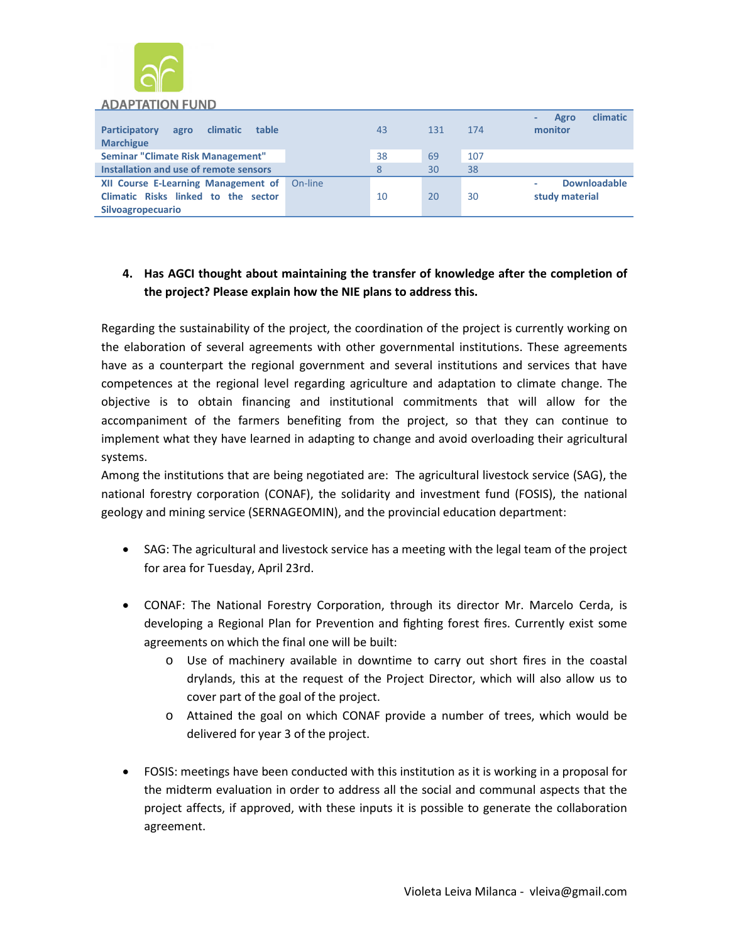

#### **ADAPTATION FUND**

| <b>Participatory</b><br><b>climatic</b><br>table<br>agro<br><b>Marchigue</b>                           |         | 43 | 131 | 174 | climatic<br>Agro<br>monitor           |
|--------------------------------------------------------------------------------------------------------|---------|----|-----|-----|---------------------------------------|
| Seminar "Climate Risk Management"                                                                      |         | 38 | 69  | 107 |                                       |
| Installation and use of remote sensors                                                                 |         | 8  | 30  | 38  |                                       |
| <b>XII Course E-Learning Management of</b><br>Climatic Risks linked to the sector<br>Silvoagropecuario | On-line | 10 | 20  | 30  | <b>Downloadable</b><br>study material |

# **4. Has AGCI thought about maintaining the transfer of knowledge after the completion of the project? Please explain how the NIE plans to address this.**

Regarding the sustainability of the project, the coordination of the project is currently working on the elaboration of several agreements with other governmental institutions. These agreements have as a counterpart the regional government and several institutions and services that have competences at the regional level regarding agriculture and adaptation to climate change. The objective is to obtain financing and institutional commitments that will allow for the accompaniment of the farmers benefiting from the project, so that they can continue to implement what they have learned in adapting to change and avoid overloading their agricultural systems.

Among the institutions that are being negotiated are: The agricultural livestock service (SAG), the national forestry corporation (CONAF), the solidarity and investment fund (FOSIS), the national geology and mining service (SERNAGEOMIN), and the provincial education department:

- SAG: The agricultural and livestock service has a meeting with the legal team of the project for area for Tuesday, April 23rd.
- CONAF: The National Forestry Corporation, through its director Mr. Marcelo Cerda, is developing a Regional Plan for Prevention and fighting forest fires. Currently exist some agreements on which the final one will be built:
	- o Use of machinery available in downtime to carry out short fires in the coastal drylands, this at the request of the Project Director, which will also allow us to cover part of the goal of the project.
	- o Attained the goal on which CONAF provide a number of trees, which would be delivered for year 3 of the project.
- FOSIS: meetings have been conducted with this institution as it is working in a proposal for the midterm evaluation in order to address all the social and communal aspects that the project affects, if approved, with these inputs it is possible to generate the collaboration agreement.